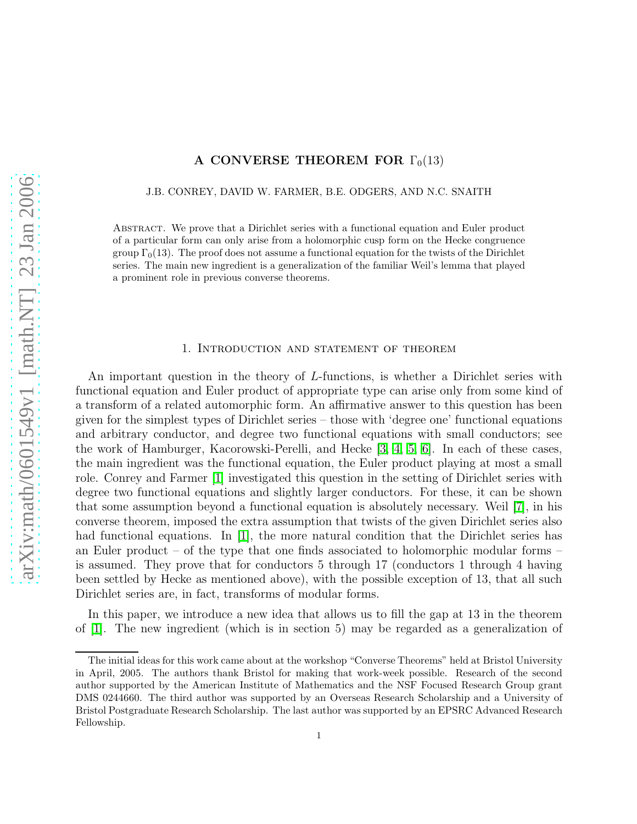## A CONVERSE THEOREM FOR  $\Gamma_0(13)$

#### J.B. CONREY, DAVID W. FARMER, B.E. ODGERS, AND N.C. SNAITH

Abstract. We prove that a Dirichlet series with a functional equation and Euler product of a particular form can only arise from a holomorphic cusp form on the Hecke congruence group  $\Gamma_0(13)$ . The proof does not assume a functional equation for the twists of the Dirichlet series. The main new ingredient is a generalization of the familiar Weil's lemma that played a prominent role in previous converse theorems.

### 1. Introduction and statement of theorem

An important question in the theory of L-functions, is whether a Dirichlet series with functional equation and Euler product of appropriate type can arise only from some kind of a transform of a related automorphic form. An affirmative answer to this question has been given for the simplest types of Dirichlet series – those with 'degree one' functional equations and arbitrary conductor, and degree two functional equations with small conductors; see the work of Hamburger, Kacorowski-Perelli, and Hecke [\[3,](#page-9-0) [4,](#page-9-1) [5,](#page-9-2) [6\]](#page-9-3). In each of these cases, the main ingredient was the functional equation, the Euler product playing at most a small role. Conrey and Farmer [\[1\]](#page-9-4) investigated this question in the setting of Dirichlet series with degree two functional equations and slightly larger conductors. For these, it can be shown that some assumption beyond a functional equation is absolutely necessary. Weil [\[7\]](#page-9-5), in his converse theorem, imposed the extra assumption that twists of the given Dirichlet series also had functional equations. In [\[1\]](#page-9-4), the more natural condition that the Dirichlet series has an Euler product – of the type that one finds associated to holomorphic modular forms – is assumed. They prove that for conductors 5 through 17 (conductors 1 through 4 having been settled by Hecke as mentioned above), with the possible exception of 13, that all such Dirichlet series are, in fact, transforms of modular forms.

In this paper, we introduce a new idea that allows us to fill the gap at 13 in the theorem of [\[1\]](#page-9-4). The new ingredient (which is in section 5) may be regarded as a generalization of

The initial ideas for this work came about at the workshop "Converse Theorems" held at Bristol University in April, 2005. The authors thank Bristol for making that work-week possible. Research of the second author supported by the American Institute of Mathematics and the NSF Focused Research Group grant DMS 0244660. The third author was supported by an Overseas Research Scholarship and a University of Bristol Postgraduate Research Scholarship. The last author was supported by an EPSRC Advanced Research Fellowship.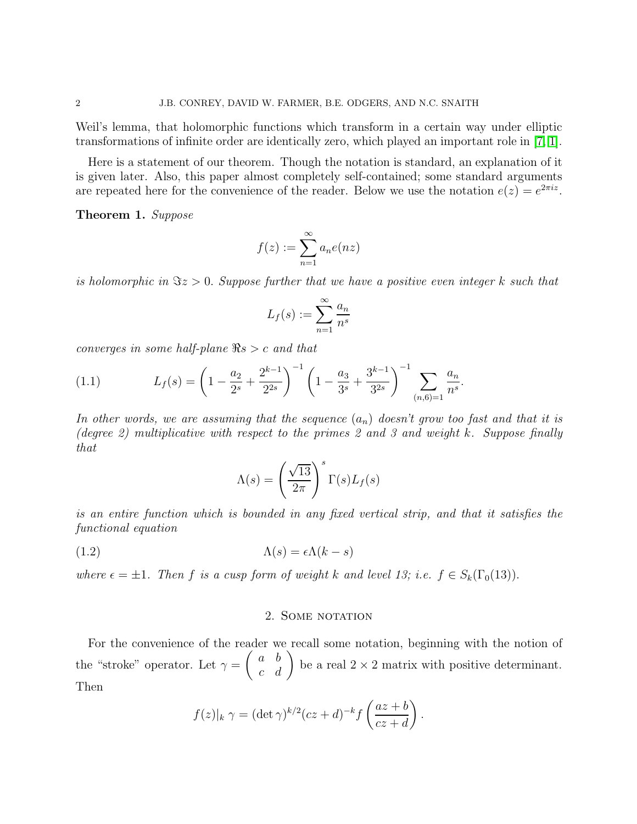Weil's lemma, that holomorphic functions which transform in a certain way under elliptic transformations of infinite order are identically zero, which played an important role in [\[7,](#page-9-5) [1\]](#page-9-4).

Here is a statement of our theorem. Though the notation is standard, an explanation of it is given later. Also, this paper almost completely self-contained; some standard arguments are repeated here for the convenience of the reader. Below we use the notation  $e(z) = e^{2\pi i z}$ .

<span id="page-1-0"></span>Theorem 1. Suppose

$$
f(z) := \sum_{n=1}^{\infty} a_n e(nz)
$$

is holomorphic in  $\Im z > 0$ . Suppose further that we have a positive even integer k such that

$$
L_f(s) := \sum_{n=1}^{\infty} \frac{a_n}{n^s}
$$

converges in some half-plane  $\Re s > c$  and that

<span id="page-1-2"></span>(1.1) 
$$
L_f(s) = \left(1 - \frac{a_2}{2^s} + \frac{2^{k-1}}{2^{2s}}\right)^{-1} \left(1 - \frac{a_3}{3^s} + \frac{3^{k-1}}{3^{2s}}\right)^{-1} \sum_{(n,6)=1} \frac{a_n}{n^s}.
$$

In other words, we are assuming that the sequence  $(a_n)$  doesn't grow too fast and that it is (degree 2) multiplicative with respect to the primes 2 and 3 and weight k. Suppose finally that

<span id="page-1-1"></span>
$$
\Lambda(s) = \left(\frac{\sqrt{13}}{2\pi}\right)^s \Gamma(s) L_f(s)
$$

is an entire function which is bounded in any fixed vertical strip, and that it satisfies the functional equation

(1.2) 
$$
\Lambda(s) = \epsilon \Lambda(k - s)
$$

where  $\epsilon = \pm 1$ . Then f is a cusp form of weight k and level 13; i.e.  $f \in S_k(\Gamma_0(13))$ .

#### 2. SOME NOTATION

For the convenience of the reader we recall some notation, beginning with the notion of the "stroke" operator. Let  $\gamma =$  $\begin{pmatrix} a & b \\ c & d \end{pmatrix}$  be a real  $2 \times 2$  matrix with positive determinant. Then

$$
f(z)|_k \gamma = (\det \gamma)^{k/2} (cz+d)^{-k} f\left(\frac{az+b}{cz+d}\right).
$$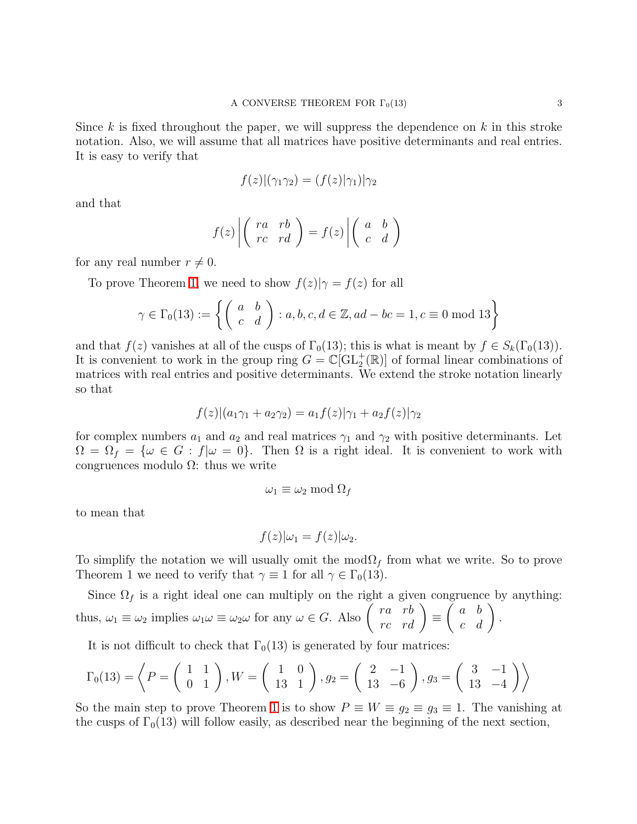Since k is fixed throughout the paper, we will suppress the dependence on  $k$  in this stroke notation. Also, we will assume that all matrices have positive determinants and real entries. It is easy to verify that

$$
f(z)|(\gamma_1\gamma_2)=(f(z)|\gamma_1)|\gamma_2
$$

and that

$$
f(z) \left| \left( \begin{array}{cc} ra & rb \\ rc & rd \end{array} \right) = f(z) \left| \left( \begin{array}{cc} a & b \\ c & d \end{array} \right) \right|
$$

for any real number  $r \neq 0$ .

To prove Theorem [1,](#page-1-0) we need to show  $f(z)|\gamma = f(z)$  for all

$$
\gamma \in \Gamma_0(13) := \left\{ \left( \begin{array}{cc} a & b \\ c & d \end{array} \right) : a, b, c, d \in \mathbb{Z}, ad - bc = 1, c \equiv 0 \text{ mod } 13 \right\}
$$

and that  $f(z)$  vanishes at all of the cusps of  $\Gamma_0(13)$ ; this is what is meant by  $f \in S_k(\Gamma_0(13))$ . It is convenient to work in the group ring  $G = \mathbb{C}[\mathrm{GL}_2^+(\mathbb{R})]$  of formal linear combinations of matrices with real entries and positive determinants. We extend the stroke notation linearly so that

$$
f(z)|(a_1\gamma_1 + a_2\gamma_2) = a_1f(z)|\gamma_1 + a_2f(z)|\gamma_2
$$

for complex numbers  $a_1$  and  $a_2$  and real matrices  $\gamma_1$  and  $\gamma_2$  with positive determinants. Let  $\Omega = \Omega_f = \{\omega \in G : f | \omega = 0\}.$  Then  $\Omega$  is a right ideal. It is convenient to work with congruences modulo  $\Omega$ : thus we write

$$
\omega_1 \equiv \omega_2 \bmod \Omega_f
$$

to mean that

$$
f(z)|\omega_1 = f(z)|\omega_2.
$$

To simplify the notation we will usually omit the mod $\Omega_f$  from what we write. So to prove Theorem 1 we need to verify that  $\gamma \equiv 1$  for all  $\gamma \in \Gamma_0(13)$ .

Since  $\Omega_f$  is a right ideal one can multiply on the right a given congruence by anything: thus,  $\omega_1 \equiv \omega_2$  implies  $\omega_1 \omega \equiv \omega_2 \omega$  for any  $\omega \in G$ . Also  $\begin{pmatrix} ra & rb \\ rc & rd \end{pmatrix} \equiv$  $\left(\begin{array}{cc} a & b \\ c & d \end{array}\right).$ 

It is not difficult to check that  $\Gamma_0(13)$  is generated by four matrices:

$$
\Gamma_0(13) = \left\langle P = \left(\begin{array}{cc} 1 & 1 \\ 0 & 1 \end{array}\right), W = \left(\begin{array}{cc} 1 & 0 \\ 13 & 1 \end{array}\right), g_2 = \left(\begin{array}{cc} 2 & -1 \\ 13 & -6 \end{array}\right), g_3 = \left(\begin{array}{cc} 3 & -1 \\ 13 & -4 \end{array}\right) \right\rangle
$$

So the main step to prove Theorem [1](#page-1-0) is to show  $P \equiv W \equiv g_2 \equiv g_3 \equiv 1$ . The vanishing at the cusps of  $\Gamma_0(13)$  will follow easily, as described near the beginning of the next section,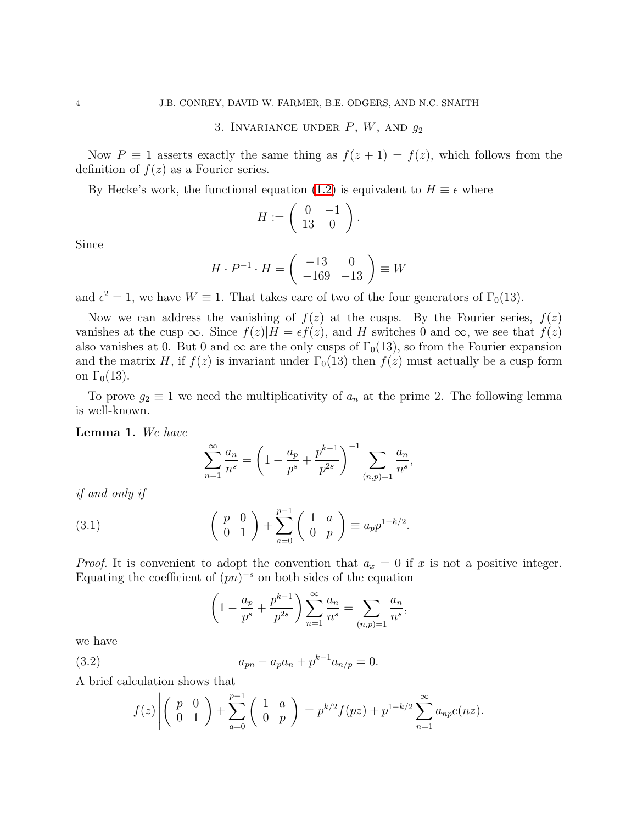## 3. INVARIANCE UNDER  $P, W$ , AND  $q_2$

Now  $P \equiv 1$  asserts exactly the same thing as  $f(z + 1) = f(z)$ , which follows from the definition of  $f(z)$  as a Fourier series.

By Hecke's work, the functional equation [\(1.2\)](#page-1-1) is equivalent to  $H \equiv \epsilon$  where

$$
H:=\left(\begin{array}{cc} 0 & -1 \\ 13 & 0 \end{array}\right).
$$

Since

$$
H \cdot P^{-1} \cdot H = \begin{pmatrix} -13 & 0 \\ -169 & -13 \end{pmatrix} \equiv W
$$

and  $\epsilon^2 = 1$ , we have  $W \equiv 1$ . That takes care of two of the four generators of  $\Gamma_0(13)$ .

Now we can address the vanishing of  $f(z)$  at the cusps. By the Fourier series,  $f(z)$ vanishes at the cusp  $\infty$ . Since  $f(z)|H = \epsilon f(z)$ , and H switches 0 and  $\infty$ , we see that  $f(z)$ also vanishes at 0. But 0 and  $\infty$  are the only cusps of  $\Gamma_0(13)$ , so from the Fourier expansion and the matrix H, if  $f(z)$  is invariant under  $\Gamma_0(13)$  then  $f(z)$  must actually be a cusp form on  $\Gamma_0(13)$ .

To prove  $g_2 \equiv 1$  we need the multiplicativity of  $a_n$  at the prime 2. The following lemma is well-known.

Lemma 1. We have

$$
\sum_{n=1}^{\infty} \frac{a_n}{n^s} = \left(1 - \frac{a_p}{p^s} + \frac{p^{k-1}}{p^{2s}}\right)^{-1} \sum_{(n,p)=1} \frac{a_n}{n^s},
$$

if and only if

<span id="page-3-0"></span>(3.1) 
$$
\begin{pmatrix} p & 0 \ 0 & 1 \end{pmatrix} + \sum_{a=0}^{p-1} \begin{pmatrix} 1 & a \ 0 & p \end{pmatrix} \equiv a_p p^{1-k/2}.
$$

*Proof.* It is convenient to adopt the convention that  $a_x = 0$  if x is not a positive integer. Equating the coefficient of  $(pn)^{-s}$  on both sides of the equation

$$
\left(1 - \frac{a_p}{p^s} + \frac{p^{k-1}}{p^{2s}}\right) \sum_{n=1}^{\infty} \frac{a_n}{n^s} = \sum_{(n,p)=1} \frac{a_n}{n^s},
$$

we have

(3.2) 
$$
a_{pn} - a_p a_n + p^{k-1} a_{n/p} = 0.
$$

A brief calculation shows that

<span id="page-3-1"></span>
$$
f(z)\left| \begin{pmatrix} p & 0 \\ 0 & 1 \end{pmatrix} + \sum_{a=0}^{p-1} \begin{pmatrix} 1 & a \\ 0 & p \end{pmatrix} \right| = p^{k/2} f(pz) + p^{1-k/2} \sum_{n=1}^{\infty} a_{np} e(nz).
$$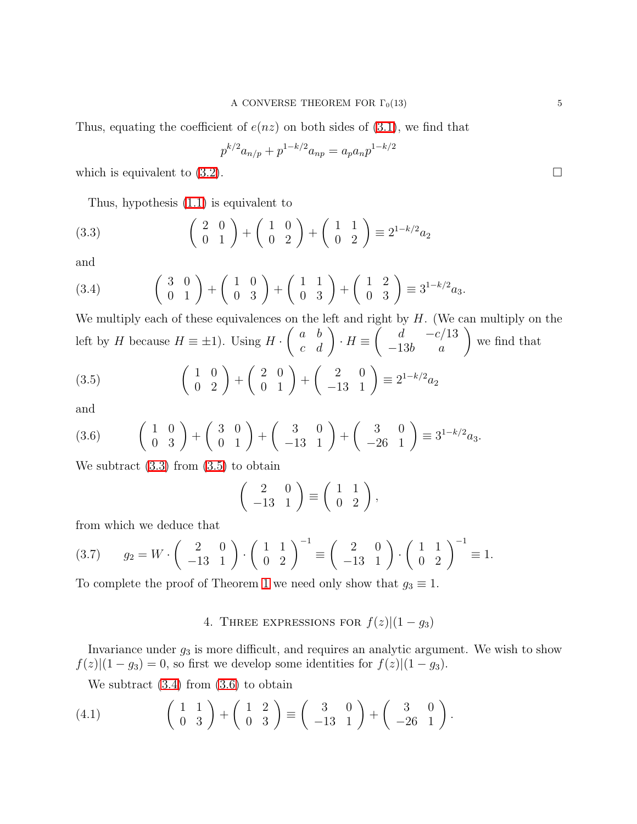Thus, equating the coefficient of  $e(nz)$  on both sides of [\(3.1\)](#page-3-0), we find that

$$
p^{k/2}a_{n/p} + p^{1-k/2}a_{np} = a_p a_n p^{1-k/2}
$$

which is equivalent to  $(3.2)$ .

<span id="page-4-0"></span>Thus, hypothesis [\(1.1\)](#page-1-2) is equivalent to

$$
(3.3) \qquad \left(\begin{array}{cc} 2 & 0 \\ 0 & 1 \end{array}\right) + \left(\begin{array}{cc} 1 & 0 \\ 0 & 2 \end{array}\right) + \left(\begin{array}{cc} 1 & 1 \\ 0 & 2 \end{array}\right) \equiv 2^{1-k/2}a_2
$$

and

<span id="page-4-2"></span>
$$
(3.4) \qquad \begin{pmatrix} 3 & 0 \\ 0 & 1 \end{pmatrix} + \begin{pmatrix} 1 & 0 \\ 0 & 3 \end{pmatrix} + \begin{pmatrix} 1 & 1 \\ 0 & 3 \end{pmatrix} + \begin{pmatrix} 1 & 2 \\ 0 & 3 \end{pmatrix} \equiv 3^{1-k/2}a_3.
$$

We multiply each of these equivalences on the left and right by  $H$ . (We can multiply on the left by  $H$  because  $H \equiv \pm 1$ ). Using  $H \cdot$  $\left(\begin{array}{cc} a & b \\ c & d \end{array}\right) \cdot H \equiv$  $\left(\begin{array}{cc} d & -c/13 \\ -13b & a \end{array}\right)$ we find that

<span id="page-4-1"></span>
$$
(3.5) \qquad \left(\begin{array}{cc} 1 & 0 \\ 0 & 2 \end{array}\right) + \left(\begin{array}{cc} 2 & 0 \\ 0 & 1 \end{array}\right) + \left(\begin{array}{cc} 2 & 0 \\ -13 & 1 \end{array}\right) \equiv 2^{1-k/2}a_2
$$

and

<span id="page-4-3"></span>
$$
(3.6) \qquad \begin{pmatrix} 1 & 0 \\ 0 & 3 \end{pmatrix} + \begin{pmatrix} 3 & 0 \\ 0 & 1 \end{pmatrix} + \begin{pmatrix} 3 & 0 \\ -13 & 1 \end{pmatrix} + \begin{pmatrix} 3 & 0 \\ -26 & 1 \end{pmatrix} \equiv 3^{1-k/2}a_3.
$$

We subtract  $(3.3)$  from  $(3.5)$  to obtain

$$
\left(\begin{array}{cc} 2 & 0 \\ -13 & 1 \end{array}\right) \equiv \left(\begin{array}{cc} 1 & 1 \\ 0 & 2 \end{array}\right),
$$

from which we deduce that

$$
(3.7) \qquad g_2 = W \cdot \begin{pmatrix} 2 & 0 \\ -13 & 1 \end{pmatrix} \cdot \begin{pmatrix} 1 & 1 \\ 0 & 2 \end{pmatrix}^{-1} \equiv \begin{pmatrix} 2 & 0 \\ -13 & 1 \end{pmatrix} \cdot \begin{pmatrix} 1 & 1 \\ 0 & 2 \end{pmatrix}^{-1} \equiv 1.
$$

To complete the proof of Theorem [1](#page-1-0) we need only show that  $g_3 \equiv 1$ .

# 4. THREE EXPRESSIONS FOR  $f(z)|(1-g_3)$

Invariance under  $g_3$  is more difficult, and requires an analytic argument. We wish to show  $f(z)|(1-g_3)=0$ , so first we develop some identities for  $f(z)|(1-g_3)$ .

We subtract  $(3.4)$  from  $(3.6)$  to obtain

<span id="page-4-4"></span>
$$
(4.1) \qquad \left(\begin{array}{cc} 1 & 1 \\ 0 & 3 \end{array}\right) + \left(\begin{array}{cc} 1 & 2 \\ 0 & 3 \end{array}\right) \equiv \left(\begin{array}{cc} 3 & 0 \\ -13 & 1 \end{array}\right) + \left(\begin{array}{cc} 3 & 0 \\ -26 & 1 \end{array}\right).
$$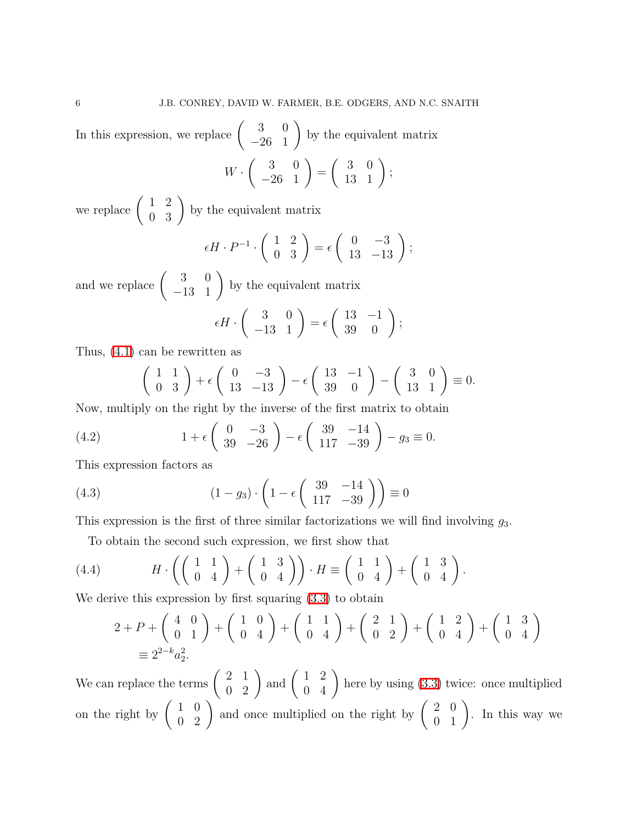In this expression, we replace  $\begin{pmatrix} 3 & 0 \\ -26 & 1 \end{pmatrix}$ by the equivalent matrix

$$
W \cdot \left( \begin{array}{cc} 3 & 0 \\ -26 & 1 \end{array} \right) = \left( \begin{array}{cc} 3 & 0 \\ 13 & 1 \end{array} \right);
$$

we replace  $\left(\begin{array}{cc} 1 & 2 \\ 0 & 3 \end{array}\right)$  by the equivalent matrix

$$
\epsilon H \cdot P^{-1} \cdot \left( \begin{array}{cc} 1 & 2 \\ 0 & 3 \end{array} \right) = \epsilon \left( \begin{array}{cc} 0 & -3 \\ 13 & -13 \end{array} \right);
$$

and we replace  $\left(\begin{array}{cc} 3 & 0 \\ -13 & 1 \end{array}\right)$ by the equivalent matrix

$$
\epsilon H \cdot \begin{pmatrix} 3 & 0 \\ -13 & 1 \end{pmatrix} = \epsilon \begin{pmatrix} 13 & -1 \\ 39 & 0 \end{pmatrix};
$$

Thus, [\(4.1\)](#page-4-4) can be rewritten as

$$
\left(\begin{array}{cc} 1 & 1 \\ 0 & 3 \end{array}\right) + \epsilon \left(\begin{array}{cc} 0 & -3 \\ 13 & -13 \end{array}\right) - \epsilon \left(\begin{array}{cc} 13 & -1 \\ 39 & 0 \end{array}\right) - \left(\begin{array}{cc} 3 & 0 \\ 13 & 1 \end{array}\right) \equiv 0.
$$

Now, multiply on the right by the inverse of the first matrix to obtain

(4.2) 
$$
1 + \epsilon \begin{pmatrix} 0 & -3 \\ 39 & -26 \end{pmatrix} - \epsilon \begin{pmatrix} 39 & -14 \\ 117 & -39 \end{pmatrix} - g_3 \equiv 0.
$$

This expression factors as

<span id="page-5-1"></span>(4.3) 
$$
(1-g_3)\cdot \left(1-\epsilon \begin{pmatrix} 39 & -14 \\ 117 & -39 \end{pmatrix}\right) \equiv 0
$$

This expression is the first of three similar factorizations we will find involving  $g_3$ .

To obtain the second such expression, we first show that

<span id="page-5-0"></span>(4.4) 
$$
H \cdot \left( \left( \begin{array}{cc} 1 & 1 \\ 0 & 4 \end{array} \right) + \left( \begin{array}{cc} 1 & 3 \\ 0 & 4 \end{array} \right) \right) \cdot H \equiv \left( \begin{array}{cc} 1 & 1 \\ 0 & 4 \end{array} \right) + \left( \begin{array}{cc} 1 & 3 \\ 0 & 4 \end{array} \right).
$$

We derive this expression by first squaring [\(3.3\)](#page-4-0) to obtain

$$
2 + P + \begin{pmatrix} 4 & 0 \\ 0 & 1 \end{pmatrix} + \begin{pmatrix} 1 & 0 \\ 0 & 4 \end{pmatrix} + \begin{pmatrix} 1 & 1 \\ 0 & 4 \end{pmatrix} + \begin{pmatrix} 2 & 1 \\ 0 & 2 \end{pmatrix} + \begin{pmatrix} 1 & 2 \\ 0 & 4 \end{pmatrix} + \begin{pmatrix} 1 & 3 \\ 0 & 4 \end{pmatrix}
$$
  

$$
\equiv 2^{2-k}a_2^2.
$$

We can replace the terms  $\begin{pmatrix} 2 & 1 \\ 0 & 2 \end{pmatrix}$  and  $\begin{pmatrix} 1 & 2 \\ 0 & 4 \end{pmatrix}$  here by using [\(3.3\)](#page-4-0) twice: once multiplied on the right by  $\begin{pmatrix} 1 & 0 \\ 0 & 2 \end{pmatrix}$  and once multiplied on the right by  $\begin{pmatrix} 2 & 0 \\ 0 & 1 \end{pmatrix}$ . In this way we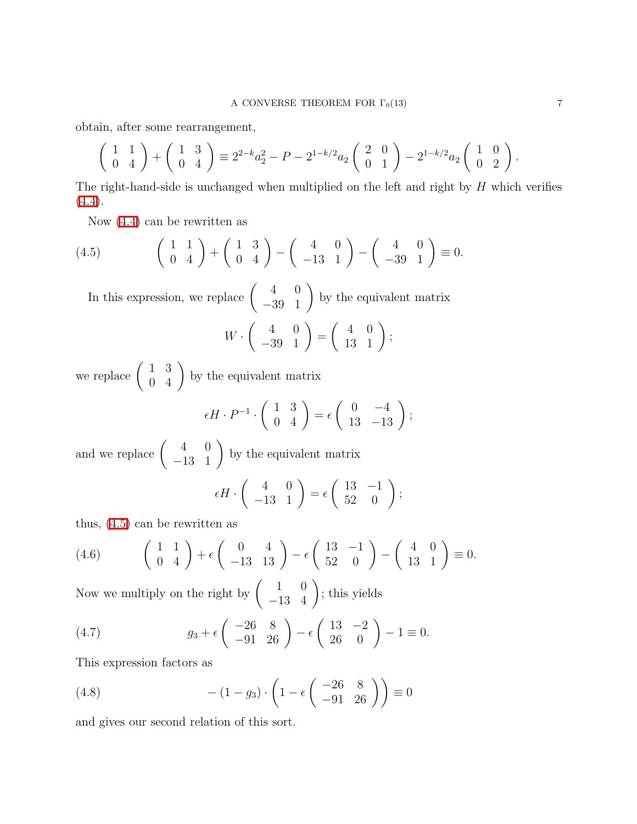obtain, after some rearrangement,

$$
\begin{pmatrix} 1 & 1 \ 0 & 4 \end{pmatrix} + \begin{pmatrix} 1 & 3 \ 0 & 4 \end{pmatrix} \equiv 2^{2-k}a_2^2 - P - 2^{1-k/2}a_2 \begin{pmatrix} 2 & 0 \ 0 & 1 \end{pmatrix} - 2^{1-k/2}a_2 \begin{pmatrix} 1 & 0 \ 0 & 2 \end{pmatrix}.
$$

The right-hand-side is unchanged when multiplied on the left and right by  $H$  which verifies  $(4.4).$  $(4.4).$ 

Now [\(4.4\)](#page-5-0) can be rewritten as

<span id="page-6-0"></span>
$$
(4.5) \qquad \begin{pmatrix} 1 & 1 \\ 0 & 4 \end{pmatrix} + \begin{pmatrix} 1 & 3 \\ 0 & 4 \end{pmatrix} - \begin{pmatrix} 4 & 0 \\ -13 & 1 \end{pmatrix} - \begin{pmatrix} 4 & 0 \\ -39 & 1 \end{pmatrix} \equiv 0.
$$

In this expression, we replace  $\begin{pmatrix} 4 & 0 \\ -39 & 1 \end{pmatrix}$ by the equivalent matrix  $W \cdot$  $\left(\begin{array}{cc} 4 & 0 \\ -39 & 1 \end{array}\right)$ =  $\left(\begin{array}{cc} 4 & 0 \\ 13 & 1 \end{array}\right);$ 

we replace  $\left(\begin{array}{cc} 1 & 3 \\ 0 & 4 \end{array}\right)$  by the equivalent matrix

$$
\epsilon H \cdot P^{-1} \cdot \begin{pmatrix} 1 & 3 \\ 0 & 4 \end{pmatrix} = \epsilon \begin{pmatrix} 0 & -4 \\ 13 & -13 \end{pmatrix};
$$

and we replace  $\left(\begin{array}{cc} 4 & 0 \\ -13 & 1 \end{array}\right)$ by the equivalent matrix

$$
\epsilon H \cdot \begin{pmatrix} 4 & 0 \\ -13 & 1 \end{pmatrix} = \epsilon \begin{pmatrix} 13 & -1 \\ 52 & 0 \end{pmatrix};
$$

thus, [\(4.5\)](#page-6-0) can be rewritten as

(4.6) 
$$
\begin{pmatrix} 1 & 1 \ 0 & 4 \end{pmatrix} + \epsilon \begin{pmatrix} 0 & 4 \ -13 & 13 \end{pmatrix} - \epsilon \begin{pmatrix} 13 & -1 \ 52 & 0 \end{pmatrix} - \begin{pmatrix} 4 & 0 \ 13 & 1 \end{pmatrix} \equiv 0.
$$

Now we multiply on the right by  $\begin{pmatrix} 1 & 0 \\ -13 & 4 \end{pmatrix}$ ; this yields

(4.7) 
$$
g_3 + \epsilon \begin{pmatrix} -26 & 8 \\ -91 & 26 \end{pmatrix} - \epsilon \begin{pmatrix} 13 & -2 \\ 26 & 0 \end{pmatrix} - 1 \equiv 0.
$$

This expression factors as

<span id="page-6-1"></span>(4.8) 
$$
-(1-g_3)\cdot \left(1-\epsilon \begin{pmatrix} -26 & 8\\ -91 & 26 \end{pmatrix}\right) \equiv 0
$$

and gives our second relation of this sort.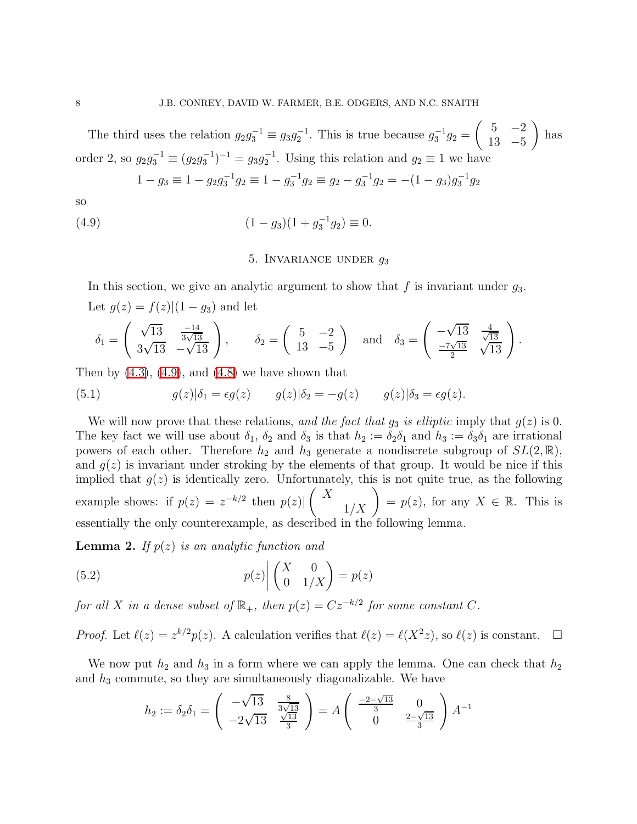The third uses the relation  $g_2 g_3^{-1} \equiv g_3 g_2^{-1}$ . This is true because  $g_3^{-1} g_2 =$  $\begin{pmatrix} 5 & -2 \\ -2 & -2 \end{pmatrix}$ 13 −5  $\setminus$ has order 2, so  $g_2 g_3^{-1} \equiv (g_2 g_3^{-1})^{-1} = g_3 g_2^{-1}$ . Using this relation and  $g_2 \equiv 1$  we have

<span id="page-7-0"></span>
$$
1 - g_3 \equiv 1 - g_2 g_3^{-1} g_2 \equiv 1 - g_3^{-1} g_2 \equiv g_2 - g_3^{-1} g_2 = -(1 - g_3) g_3^{-1} g_2
$$

so

(4.9) 
$$
(1 - g_3)(1 + g_3^{-1}g_2) \equiv 0.
$$

## <span id="page-7-2"></span>5. INVARIANCE UNDER  $q_3$

In this section, we give an analytic argument to show that f is invariant under  $g_3$ . Let  $g(z) = f(z) | (1 - g_3)$  and let

$$
\delta_1 = \begin{pmatrix} \sqrt{13} & \frac{-14}{3\sqrt{13}} \\ 3\sqrt{13} & -\sqrt{13} \end{pmatrix}, \quad \delta_2 = \begin{pmatrix} 5 & -2 \\ 13 & -5 \end{pmatrix} \text{ and } \delta_3 = \begin{pmatrix} -\sqrt{13} & \frac{4}{\sqrt{13}} \\ \frac{-7\sqrt{13}}{2} & \sqrt{13} \end{pmatrix}.
$$

Then by  $(4.3)$ ,  $(4.9)$ , and  $(4.8)$  we have shown that

(5.1) 
$$
g(z)|\delta_1 = \epsilon g(z) \qquad g(z)|\delta_2 = -g(z) \qquad g(z)|\delta_3 = \epsilon g(z).
$$

We will now prove that these relations, and the fact that  $g_3$  is elliptic imply that  $g(z)$  is 0. The key fact we will use about  $\delta_1$ ,  $\delta_2$  and  $\delta_3$  is that  $h_2 := \delta_2 \delta_1$  and  $h_3 := \delta_3 \delta_1$  are irrational powers of each other. Therefore  $h_2$  and  $h_3$  generate a nondiscrete subgroup of  $SL(2,\mathbb{R})$ , and  $g(z)$  is invariant under stroking by the elements of that group. It would be nice if this implied that  $g(z)$  is identically zero. Unfortunately, this is not quite true, as the following example shows: if  $p(z) = z^{-k/2}$  then  $p(z)$  $\begin{pmatrix} X \\ 1/X \end{pmatrix} = p(z)$ , for any  $X \in \mathbb{R}$ . This is essentially the only counterexample, as described in the following lemma.

**Lemma 2.** If  $p(z)$  is an analytic function and

<span id="page-7-1"></span>(5.2) 
$$
p(z) \begin{pmatrix} X & 0 \\ 0 & 1/X \end{pmatrix} = p(z)
$$

for all X in a dense subset of  $\mathbb{R}_+$ , then  $p(z) = Cz^{-k/2}$  for some constant C.

*Proof.* Let  $\ell(z) = z^{k/2}p(z)$ . A calculation verifies that  $\ell(z) = \ell(X^2z)$ , so  $\ell(z)$  is constant.  $\Box$ 

We now put  $h_2$  and  $h_3$  in a form where we can apply the lemma. One can check that  $h_2$ and  $h_3$  commute, so they are simultaneously diagonalizable. We have

$$
h_2 := \delta_2 \delta_1 = \begin{pmatrix} -\sqrt{13} & \frac{8}{3\sqrt{13}} \\ -2\sqrt{13} & \frac{\sqrt{13}}{3} \end{pmatrix} = A \begin{pmatrix} \frac{-2-\sqrt{13}}{3} & 0 \\ 0 & \frac{2-\sqrt{13}}{3} \end{pmatrix} A^{-1}
$$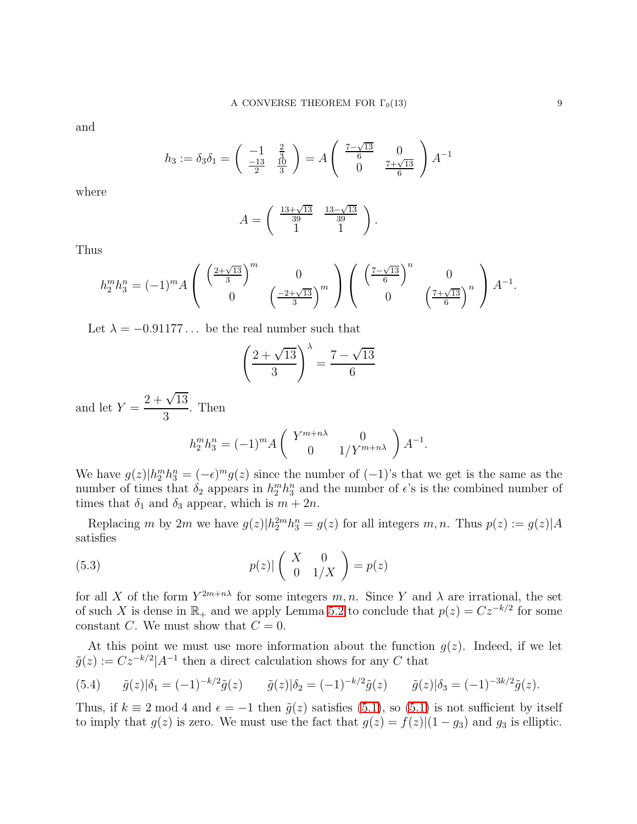and

$$
h_3 := \delta_3 \delta_1 = \begin{pmatrix} -1 & \frac{2}{3} \\ \frac{-13}{2} & \frac{10}{3} \end{pmatrix} = A \begin{pmatrix} \frac{7-\sqrt{13}}{6} & 0 \\ 0 & \frac{7+\sqrt{13}}{6} \end{pmatrix} A^{-1}
$$

where

$$
A = \begin{pmatrix} \frac{13+\sqrt{13}}{39} & \frac{13-\sqrt{13}}{39} \\ 1 & 1 \end{pmatrix}.
$$

Thus

$$
h_2^m h_3^n = (-1)^m A \begin{pmatrix} \left(\frac{2+\sqrt{13}}{3}\right)^m & 0\\ 0 & \left(\frac{-2+\sqrt{13}}{3}\right)^m \end{pmatrix} \begin{pmatrix} \left(\frac{7-\sqrt{13}}{6}\right)^n & 0\\ 0 & \left(\frac{7+\sqrt{13}}{6}\right)^n \end{pmatrix} A^{-1}.
$$

Let  $\lambda = -0.91177...$  be the real number such that

$$
\left(\frac{2+\sqrt{13}}{3}\right)^{\lambda} = \frac{7-\sqrt{13}}{6}
$$

and let  $Y =$  $2 + \sqrt{13}$ 3 . Then

$$
h_2^m h_3^n = (-1)^m A \begin{pmatrix} Y^{m+n\lambda} & 0 \\ 0 & 1/Y^{m+n\lambda} \end{pmatrix} A^{-1}.
$$

We have  $g(z)|h_2^m h_3^n = (-\epsilon)^m g(z)$  since the number of  $(-1)$ 's that we get is the same as the number of times that  $\delta_2$  appears in  $h_2^m h_3^n$  and the number of  $\epsilon$ 's is the combined number of times that  $\delta_1$  and  $\delta_3$  appear, which is  $m + 2n$ .

Replacing m by 2m we have  $g(z)|h_2^{2m}h_3^n = g(z)$  for all integers m, n. Thus  $p(z) := g(z)|A$ satisfies

(5.3) 
$$
p(z)|\begin{pmatrix} X & 0 \ 0 & 1/X \end{pmatrix} = p(z)
$$

for all X of the form  $Y^{2m+n\lambda}$  for some integers m, n. Since Y and  $\lambda$  are irrational, the set of such X is dense in  $\mathbb{R}_+$  and we apply Lemma [5.2](#page-7-1) to conclude that  $p(z) = Cz^{-k/2}$  for some constant C. We must show that  $C = 0$ .

At this point we must use more information about the function  $g(z)$ . Indeed, if we let  $\tilde{g}(z) := C z^{-k/2} |A^{-1}$  then a direct calculation shows for any C that

(5.4) 
$$
\tilde{g}(z)|\delta_1 = (-1)^{-k/2}\tilde{g}(z)
$$
  $\tilde{g}(z)|\delta_2 = (-1)^{-k/2}\tilde{g}(z)$   $\tilde{g}(z)|\delta_3 = (-1)^{-3k/2}\tilde{g}(z)$ .

Thus, if  $k \equiv 2 \mod 4$  and  $\epsilon = -1$  then  $\tilde{g}(z)$  satisfies [\(5.1\)](#page-7-2), so (5.1) is not sufficient by itself to imply that  $g(z)$  is zero. We must use the fact that  $g(z) = f(z)|(1 - g_3)$  and  $g_3$  is elliptic.